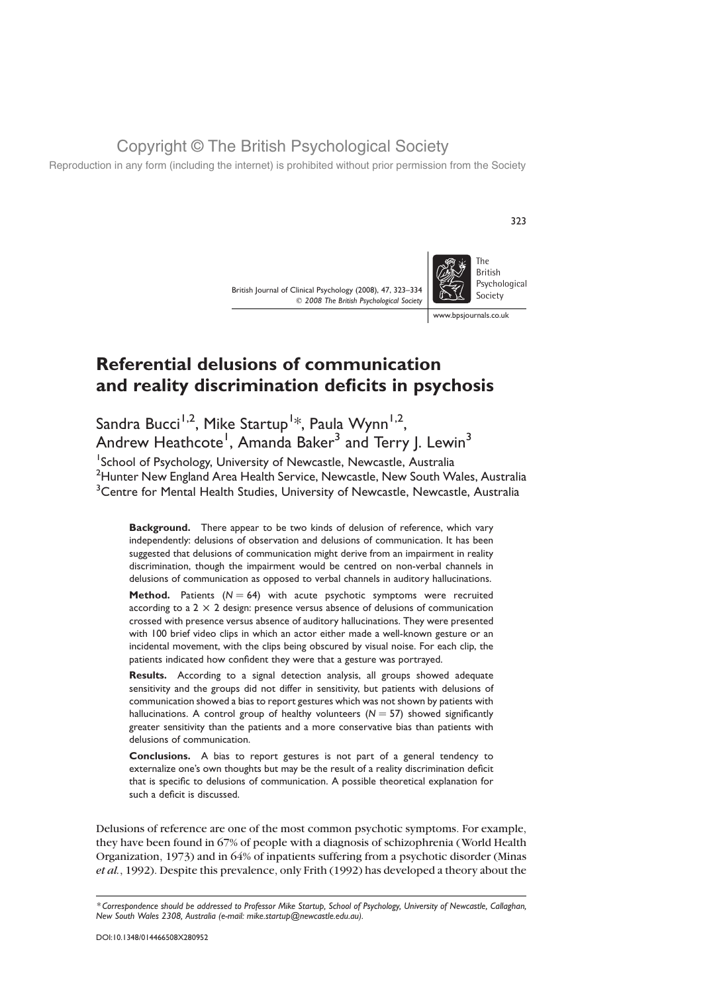Reproduction in any form (including the internet) is prohibited without prior permission from the Society

British Journal of Clinical Psychology (2008), 47, 323–334  $©$  2008 The British Psychological Society



323

www.bpsjournals.co.uk

# Referential delusions of communication and reality discrimination deficits in psychosis

Sandra Bucci<sup>1,2</sup>, Mike Startup<sup>1</sup>\*, Paula Wynn<sup>1,2</sup>, Andrew Heathcote<sup>1</sup>, Amanda Baker<sup>3</sup> and Terry J. Lewin<sup>3</sup>

<sup>1</sup>School of Psychology, University of Newcastle, Newcastle, Australia <sup>2</sup> Hunter New England Area Health Service, Newcastle, New South Wales, Australia <sup>3</sup> Centre for Mental Health Studies, University of Newcastle, Newcastle, Australia

Background. There appear to be two kinds of delusion of reference, which vary independently: delusions of observation and delusions of communication. It has been suggested that delusions of communication might derive from an impairment in reality discrimination, though the impairment would be centred on non-verbal channels in delusions of communication as opposed to verbal channels in auditory hallucinations.

**Method.** Patients  $(N = 64)$  with acute psychotic symptoms were recruited according to a  $2 \times 2$  design: presence versus absence of delusions of communication crossed with presence versus absence of auditory hallucinations. They were presented with 100 brief video clips in which an actor either made a well-known gesture or an incidental movement, with the clips being obscured by visual noise. For each clip, the patients indicated how confident they were that a gesture was portrayed.

Results. According to a signal detection analysis, all groups showed adequate sensitivity and the groups did not differ in sensitivity, but patients with delusions of communication showed a bias to report gestures which was not shown by patients with hallucinations. A control group of healthy volunteers ( $N = 57$ ) showed significantly greater sensitivity than the patients and a more conservative bias than patients with delusions of communication.

Conclusions. A bias to report gestures is not part of a general tendency to externalize one's own thoughts but may be the result of a reality discrimination deficit that is specific to delusions of communication. A possible theoretical explanation for such a deficit is discussed.

Delusions of reference are one of the most common psychotic symptoms. For example, they have been found in 67% of people with a diagnosis of schizophrenia (World Health Organization, 1973) and in 64% of inpatients suffering from a psychotic disorder (Minas et al., 1992). Despite this prevalence, only Frith (1992) has developed a theory about the

<sup>\*</sup> Correspondence should be addressed to Professor Mike Startup, School of Psychology, University of Newcastle, Callaghan, New South Wales 2308, Australia (e-mail: mike.startup@newcastle.edu.au).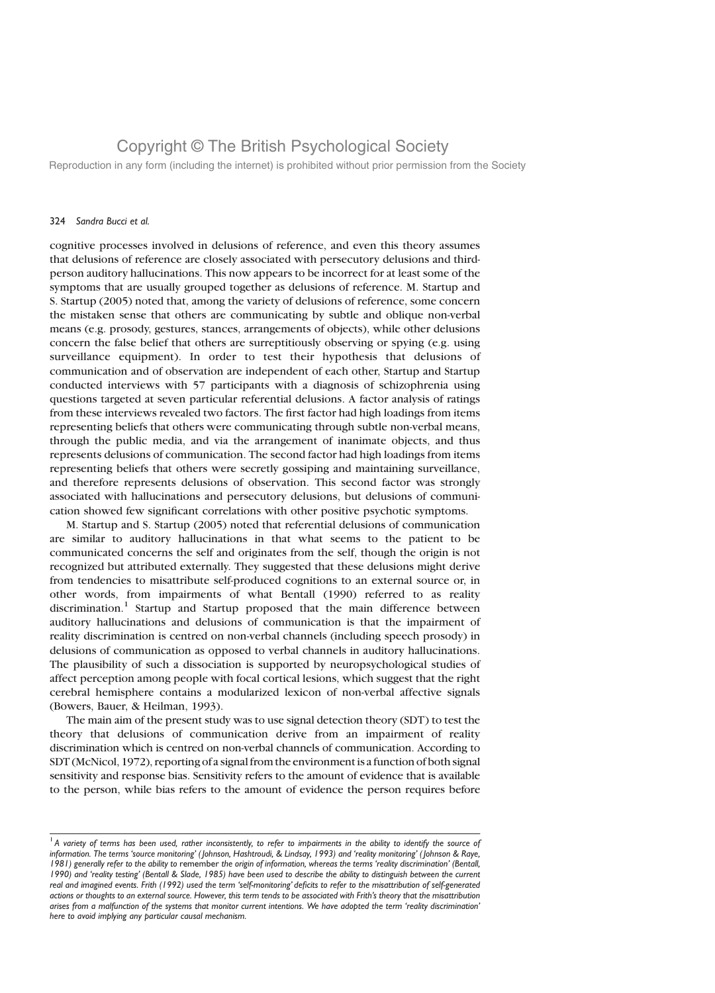Reproduction in any form (including the internet) is prohibited without prior permission from the Society

#### 324 Sandra Bucci et al.

cognitive processes involved in delusions of reference, and even this theory assumes that delusions of reference are closely associated with persecutory delusions and thirdperson auditory hallucinations. This now appears to be incorrect for at least some of the symptoms that are usually grouped together as delusions of reference. M. Startup and S. Startup (2005) noted that, among the variety of delusions of reference, some concern the mistaken sense that others are communicating by subtle and oblique non-verbal means (e.g. prosody, gestures, stances, arrangements of objects), while other delusions concern the false belief that others are surreptitiously observing or spying (e.g. using surveillance equipment). In order to test their hypothesis that delusions of communication and of observation are independent of each other, Startup and Startup conducted interviews with 57 participants with a diagnosis of schizophrenia using questions targeted at seven particular referential delusions. A factor analysis of ratings from these interviews revealed two factors. The first factor had high loadings from items representing beliefs that others were communicating through subtle non-verbal means, through the public media, and via the arrangement of inanimate objects, and thus represents delusions of communication. The second factor had high loadings from items representing beliefs that others were secretly gossiping and maintaining surveillance, and therefore represents delusions of observation. This second factor was strongly associated with hallucinations and persecutory delusions, but delusions of communication showed few significant correlations with other positive psychotic symptoms.

M. Startup and S. Startup (2005) noted that referential delusions of communication are similar to auditory hallucinations in that what seems to the patient to be communicated concerns the self and originates from the self, though the origin is not recognized but attributed externally. They suggested that these delusions might derive from tendencies to misattribute self-produced cognitions to an external source or, in other words, from impairments of what Bentall (1990) referred to as reality discrimination.<sup>1</sup> Startup and Startup proposed that the main difference between auditory hallucinations and delusions of communication is that the impairment of reality discrimination is centred on non-verbal channels (including speech prosody) in delusions of communication as opposed to verbal channels in auditory hallucinations. The plausibility of such a dissociation is supported by neuropsychological studies of affect perception among people with focal cortical lesions, which suggest that the right cerebral hemisphere contains a modularized lexicon of non-verbal affective signals (Bowers, Bauer, & Heilman, 1993).

The main aim of the present study was to use signal detection theory (SDT) to test the theory that delusions of communication derive from an impairment of reality discrimination which is centred on non-verbal channels of communication. According to SDT (McNicol, 1972), reporting of a signal from the environment is a function of both signal sensitivity and response bias. Sensitivity refers to the amount of evidence that is available to the person, while bias refers to the amount of evidence the person requires before

 $<sup>1</sup>$  A variety of terms has been used, rather inconsistently, to refer to impairments in the ability to identify the source of</sup> information. The terms 'source monitoring' (Johnson, Hashtroudi, & Lindsay, 1993) and 'reality monitoring' (Johnson & Raye, 1981) generally refer to the ability to remember the origin of information, whereas the terms 'reality discrimination' (Bentall, 1990) and 'reality testing' (Bentall & Slade, 1985) have been used to describe the ability to distinguish between the current real and imagined events. Frith (1992) used the term 'self-monitoring' deficits to refer to the misattribution of self-generated actions or thoughts to an external source. However, this term tends to be associated with Frith's theory that the misattribution arises from a malfunction of the systems that monitor current intentions. We have adopted the term 'reality discrimination' here to avoid implying any particular causal mechanism.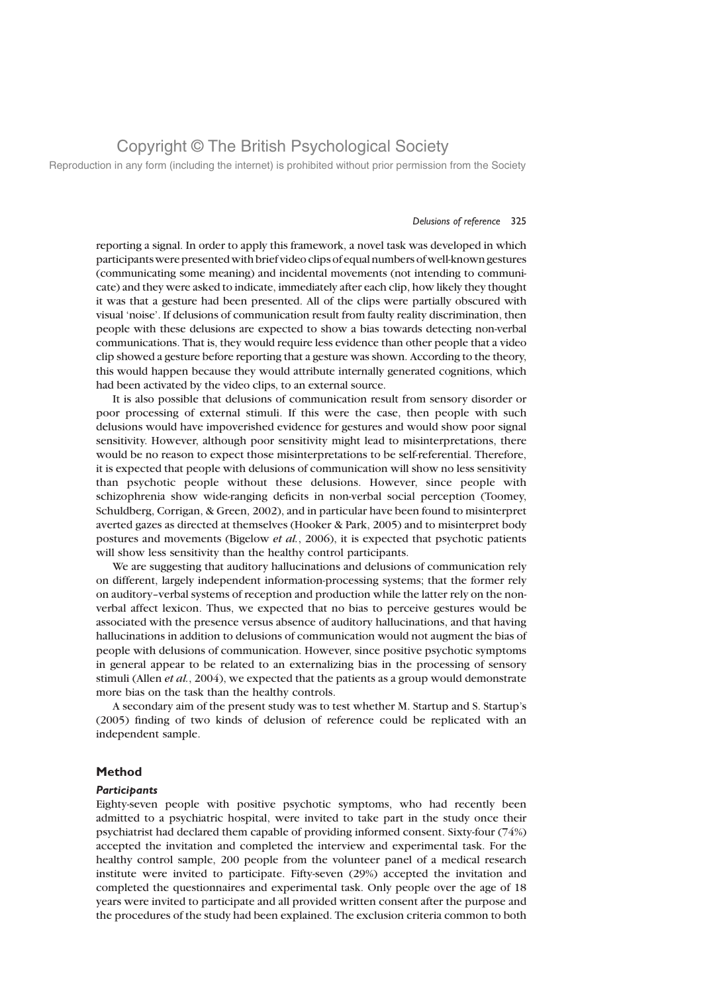Reproduction in any form (including the internet) is prohibited without prior permission from the Society

#### Delusions of reference 325

reporting a signal. In order to apply this framework, a novel task was developed in which participantswere presented with brief video clips of equal numbers of well-known gestures (communicating some meaning) and incidental movements (not intending to communicate) and they were asked to indicate, immediately after each clip, how likely they thought it was that a gesture had been presented. All of the clips were partially obscured with visual 'noise'. If delusions of communication result from faulty reality discrimination, then people with these delusions are expected to show a bias towards detecting non-verbal communications. That is, they would require less evidence than other people that a video clip showed a gesture before reporting that a gesture was shown. According to the theory, this would happen because they would attribute internally generated cognitions, which had been activated by the video clips, to an external source.

It is also possible that delusions of communication result from sensory disorder or poor processing of external stimuli. If this were the case, then people with such delusions would have impoverished evidence for gestures and would show poor signal sensitivity. However, although poor sensitivity might lead to misinterpretations, there would be no reason to expect those misinterpretations to be self-referential. Therefore, it is expected that people with delusions of communication will show no less sensitivity than psychotic people without these delusions. However, since people with schizophrenia show wide-ranging deficits in non-verbal social perception (Toomey, Schuldberg, Corrigan, & Green, 2002), and in particular have been found to misinterpret averted gazes as directed at themselves (Hooker & Park, 2005) and to misinterpret body postures and movements (Bigelow et al., 2006), it is expected that psychotic patients will show less sensitivity than the healthy control participants.

We are suggesting that auditory hallucinations and delusions of communication rely on different, largely independent information-processing systems; that the former rely on auditory–verbal systems of reception and production while the latter rely on the nonverbal affect lexicon. Thus, we expected that no bias to perceive gestures would be associated with the presence versus absence of auditory hallucinations, and that having hallucinations in addition to delusions of communication would not augment the bias of people with delusions of communication. However, since positive psychotic symptoms in general appear to be related to an externalizing bias in the processing of sensory stimuli (Allen *et al.*, 2004), we expected that the patients as a group would demonstrate more bias on the task than the healthy controls.

A secondary aim of the present study was to test whether M. Startup and S. Startup's (2005) finding of two kinds of delusion of reference could be replicated with an independent sample.

### Method

### **Participants**

Eighty-seven people with positive psychotic symptoms, who had recently been admitted to a psychiatric hospital, were invited to take part in the study once their psychiatrist had declared them capable of providing informed consent. Sixty-four (74%) accepted the invitation and completed the interview and experimental task. For the healthy control sample, 200 people from the volunteer panel of a medical research institute were invited to participate. Fifty-seven (29%) accepted the invitation and completed the questionnaires and experimental task. Only people over the age of 18 years were invited to participate and all provided written consent after the purpose and the procedures of the study had been explained. The exclusion criteria common to both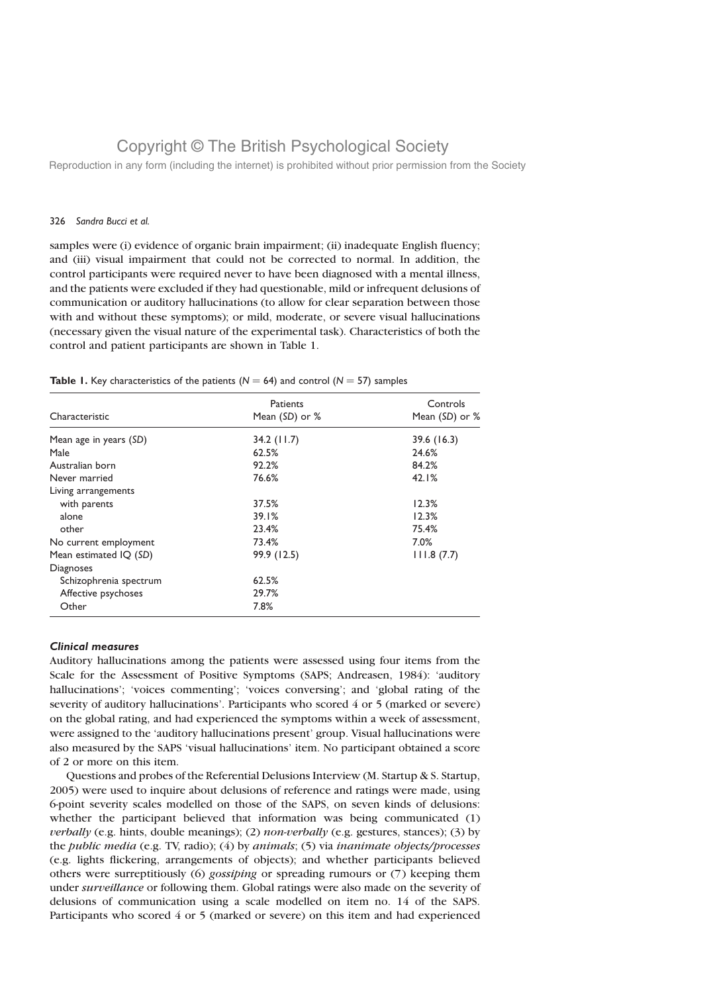Reproduction in any form (including the internet) is prohibited without prior permission from the Society

#### 326 Sandra Bucci et al.

samples were (i) evidence of organic brain impairment; (ii) inadequate English fluency; and (iii) visual impairment that could not be corrected to normal. In addition, the control participants were required never to have been diagnosed with a mental illness, and the patients were excluded if they had questionable, mild or infrequent delusions of communication or auditory hallucinations (to allow for clear separation between those with and without these symptoms); or mild, moderate, or severe visual hallucinations (necessary given the visual nature of the experimental task). Characteristics of both the control and patient participants are shown in Table 1.

### **Table 1.** Key characteristics of the patients ( $N = 64$ ) and control ( $N = 57$ ) samples

|                        | Patients       | Controls       |  |
|------------------------|----------------|----------------|--|
| Characteristic         | Mean (SD) or % | Mean (SD) or % |  |
| Mean age in years (SD) | $34.2$ (11.7)  | 39.6(16.3)     |  |
| Male                   | 62.5%          | 24.6%          |  |
| Australian born        | 92.2%          | 84.2%          |  |
| Never married          | 76.6%          | 42.1%          |  |
| Living arrangements    |                |                |  |
| with parents           | 37.5%          | 12.3%          |  |
| alone                  | 39.1%          | 12.3%          |  |
| other                  | 23.4%          | 75.4%          |  |
| No current employment  | 73.4%          | 7.0%           |  |
| Mean estimated IQ (SD) | 99.9 (12.5)    | 111.8(7.7)     |  |
| Diagnoses              |                |                |  |
| Schizophrenia spectrum | 62.5%          |                |  |
| Affective psychoses    | 29.7%          |                |  |
| Other                  | 7.8%           |                |  |

### Clinical measures

Auditory hallucinations among the patients were assessed using four items from the Scale for the Assessment of Positive Symptoms (SAPS; Andreasen, 1984): 'auditory hallucinations'; 'voices commenting'; 'voices conversing'; and 'global rating of the severity of auditory hallucinations'. Participants who scored 4 or 5 (marked or severe) on the global rating, and had experienced the symptoms within a week of assessment, were assigned to the 'auditory hallucinations present' group. Visual hallucinations were also measured by the SAPS 'visual hallucinations' item. No participant obtained a score of 2 or more on this item.

Questions and probes of the Referential Delusions Interview (M. Startup & S. Startup, 2005) were used to inquire about delusions of reference and ratings were made, using 6-point severity scales modelled on those of the SAPS, on seven kinds of delusions: whether the participant believed that information was being communicated (1) verbally (e.g. hints, double meanings); (2) non-verbally (e.g. gestures, stances); (3) by the *public media* (e.g. TV, radio);  $(4)$  by *animals*;  $(5)$  via *inanimate objects/processes* (e.g. lights flickering, arrangements of objects); and whether participants believed others were surreptitiously (6) gossiping or spreading rumours or (7) keeping them under surveillance or following them. Global ratings were also made on the severity of delusions of communication using a scale modelled on item no. 14 of the SAPS. Participants who scored 4 or 5 (marked or severe) on this item and had experienced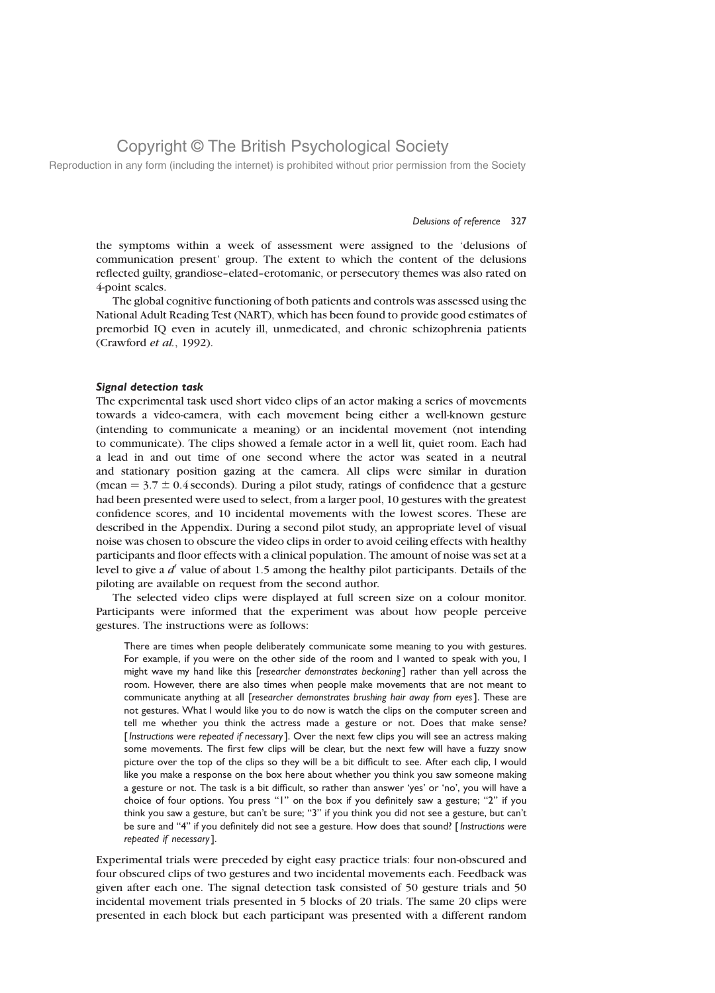Reproduction in any form (including the internet) is prohibited without prior permission from the Society

#### Delusions of reference 327

the symptoms within a week of assessment were assigned to the 'delusions of communication present' group. The extent to which the content of the delusions reflected guilty, grandiose–elated–erotomanic, or persecutory themes was also rated on 4-point scales.

The global cognitive functioning of both patients and controls was assessed using the National Adult Reading Test (NART), which has been found to provide good estimates of premorbid IQ even in acutely ill, unmedicated, and chronic schizophrenia patients (Crawford et al., 1992).

#### Signal detection task

The experimental task used short video clips of an actor making a series of movements towards a video-camera, with each movement being either a well-known gesture (intending to communicate a meaning) or an incidental movement (not intending to communicate). The clips showed a female actor in a well lit, quiet room. Each had a lead in and out time of one second where the actor was seated in a neutral and stationary position gazing at the camera. All clips were similar in duration (mean  $= 3.7 \pm 0.4$  seconds). During a pilot study, ratings of confidence that a gesture had been presented were used to select, from a larger pool, 10 gestures with the greatest confidence scores, and 10 incidental movements with the lowest scores. These are described in the Appendix. During a second pilot study, an appropriate level of visual noise was chosen to obscure the video clips in order to avoid ceiling effects with healthy participants and floor effects with a clinical population. The amount of noise was set at a level to give a  $d'$  value of about 1.5 among the healthy pilot participants. Details of the piloting are available on request from the second author.

The selected video clips were displayed at full screen size on a colour monitor. Participants were informed that the experiment was about how people perceive gestures. The instructions were as follows:

There are times when people deliberately communicate some meaning to you with gestures. For example, if you were on the other side of the room and I wanted to speak with you, I might wave my hand like this [researcher demonstrates beckoning] rather than yell across the room. However, there are also times when people make movements that are not meant to communicate anything at all [researcher demonstrates brushing hair away from eyes]. These are not gestures. What I would like you to do now is watch the clips on the computer screen and tell me whether you think the actress made a gesture or not. Does that make sense? [Instructions were repeated if necessary]. Over the next few clips you will see an actress making some movements. The first few clips will be clear, but the next few will have a fuzzy snow picture over the top of the clips so they will be a bit difficult to see. After each clip, I would like you make a response on the box here about whether you think you saw someone making a gesture or not. The task is a bit difficult, so rather than answer 'yes' or 'no', you will have a choice of four options. You press "1" on the box if you definitely saw a gesture; "2" if you think you saw a gesture, but can't be sure; "3" if you think you did not see a gesture, but can't be sure and "4" if you definitely did not see a gesture. How does that sound? [Instructions were repeated if necessary].

Experimental trials were preceded by eight easy practice trials: four non-obscured and four obscured clips of two gestures and two incidental movements each. Feedback was given after each one. The signal detection task consisted of 50 gesture trials and 50 incidental movement trials presented in 5 blocks of 20 trials. The same 20 clips were presented in each block but each participant was presented with a different random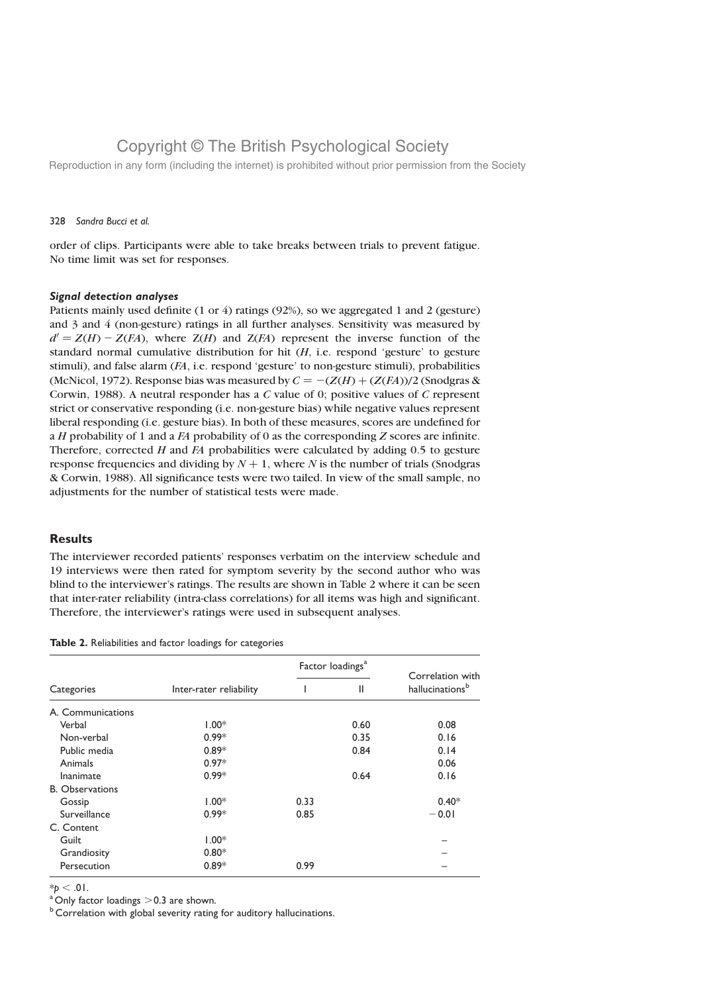Reproduction in any form (including the internet) is prohibited without prior permission from the Society

#### 328 Sandra Bucci et al.

order of clips. Participants were able to take breaks between trials to prevent fatigue. No time limit was set for responses.

#### Signal detection analyses

Patients mainly used definite (1 or 4) ratings (92%), so we aggregated 1 and 2 (gesture) and 3 and 4 (non-gesture) ratings in all further analyses. Sensitivity was measured by  $d' = Z(H) - Z(FA)$ , where  $Z(H)$  and  $Z(FA)$  represent the inverse function of the standard normal cumulative distribution for hit  $(H, i.e.$  respond 'gesture' to gesture stimuli), and false alarm (FA, i.e. respond 'gesture' to non-gesture stimuli), probabilities (McNicol, 1972). Response bias was measured by  $C = -(Z(H) + (Z(FA))/2)$  (Snodgras & Corwin, 1988). A neutral responder has a  $C$  value of 0; positive values of  $C$  represent strict or conservative responding (i.e. non-gesture bias) while negative values represent liberal responding (i.e. gesture bias). In both of these measures, scores are undefined for a  $H$  probability of 1 and a  $FA$  probability of 0 as the corresponding  $Z$  scores are infinite. Therefore, corrected  $H$  and  $FA$  probabilities were calculated by adding 0.5 to gesture response frequencies and dividing by  $N + 1$ , where N is the number of trials (Snodgras & Corwin, 1988). All significance tests were two tailed. In view of the small sample, no adjustments for the number of statistical tests were made.

### **Results**

The interviewer recorded patients' responses verbatim on the interview schedule and 19 interviews were then rated for symptom severity by the second author who was blind to the interviewer's ratings. The results are shown in Table 2 where it can be seen that inter-rater reliability (intra-class correlations) for all items was high and significant. Therefore, the interviewer's ratings were used in subsequent analyses.

Table 2. Reliabilities and factor loadings for categories

|                        |                         | Factor loadings <sup>a</sup> |      |                                                 |
|------------------------|-------------------------|------------------------------|------|-------------------------------------------------|
| Categories             | Inter-rater reliability |                              | Ш    | Correlation with<br>hallucinations <sup>b</sup> |
| A. Communications      |                         |                              |      |                                                 |
| Verbal                 | $1.00*$                 |                              | 0.60 | 0.08                                            |
| Non-verbal             | $0.99*$                 |                              | 0.35 | 0.16                                            |
| Public media           | $0.89*$                 |                              | 0.84 | 0.14                                            |
| Animals                | $0.97*$                 |                              |      | 0.06                                            |
| Inanimate              | $0.99*$                 |                              | 0.64 | 0.16                                            |
| <b>B.</b> Observations |                         |                              |      |                                                 |
| Gossip                 | $1.00*$                 | 0.33                         |      | $0.40*$                                         |
| Surveillance           | $0.99*$                 | 0.85                         |      | $-0.01$                                         |
| C. Content             |                         |                              |      |                                                 |
| Guilt                  | $1.00*$                 |                              |      |                                                 |
| Grandiosity            | $0.80*$                 |                              |      |                                                 |
| Persecution            | $0.89*$                 | 0.99                         |      |                                                 |

 $* p < .01$ .<br><sup>a</sup> Only factor loadings  $>$  0.3 are shown.

 $<sup>b</sup>$  Correlation with global severity rating for auditory hallucinations.</sup>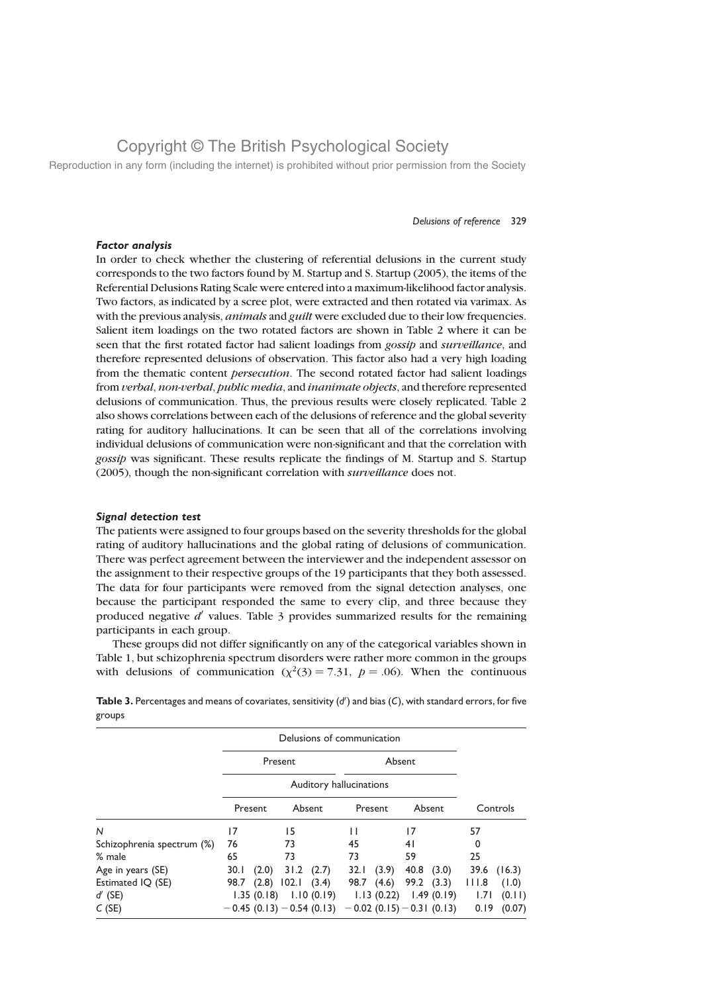Reproduction in any form (including the internet) is prohibited without prior permission from the Society

#### Delusions of reference 329

### Factor analysis

In order to check whether the clustering of referential delusions in the current study corresponds to the two factors found by M. Startup and S. Startup (2005), the items of the Referential Delusions Rating Scale were entered into a maximum-likelihood factor analysis. Two factors, as indicated by a scree plot, were extracted and then rotated via varimax. As with the previous analysis, *animals* and *guilt* were excluded due to their low frequencies. Salient item loadings on the two rotated factors are shown in Table 2 where it can be seen that the first rotated factor had salient loadings from *gossip* and *surveillance*, and therefore represented delusions of observation. This factor also had a very high loading from the thematic content persecution. The second rotated factor had salient loadings from verbal, non-verbal, public media, and inanimate objects, and therefore represented delusions of communication. Thus, the previous results were closely replicated. Table 2 also shows correlations between each of the delusions of reference and the global severity rating for auditory hallucinations. It can be seen that all of the correlations involving individual delusions of communication were non-significant and that the correlation with gossip was significant. These results replicate the findings of M. Startup and S. Startup (2005), though the non-significant correlation with surveillance does not.

#### Signal detection test

The patients were assigned to four groups based on the severity thresholds for the global rating of auditory hallucinations and the global rating of delusions of communication. There was perfect agreement between the interviewer and the independent assessor on the assignment to their respective groups of the 19 participants that they both assessed. The data for four participants were removed from the signal detection analyses, one because the participant responded the same to every clip, and three because they produced negative  $d'$  values. Table 3 provides summarized results for the remaining participants in each group.

These groups did not differ significantly on any of the categorical variables shown in Table 1, but schizophrenia spectrum disorders were rather more common in the groups with delusions of communication ( $\chi^2(3) = 7.31$ ,  $p = .06$ ). When the continuous

|                                         |                    |                                                                   | Delusions of communication  |                                                              |                                                    |
|-----------------------------------------|--------------------|-------------------------------------------------------------------|-----------------------------|--------------------------------------------------------------|----------------------------------------------------|
|                                         | Present            |                                                                   |                             | Absent                                                       |                                                    |
|                                         |                    | Auditory hallucinations                                           |                             |                                                              |                                                    |
|                                         | Present            | Absent                                                            | Present                     | Absent                                                       | Controls                                           |
| N                                       | 17                 | 15                                                                |                             | 17                                                           | 57                                                 |
| Schizophrenia spectrum (%)              | 76                 | 73                                                                | 45                          | 41                                                           | 0                                                  |
| % male                                  | 65                 | 73                                                                | 73                          | 59                                                           | 25                                                 |
| Age in years (SE)                       | 30.1               | (2.0)<br>$31.2 \quad (2.7)$                                       | (3.9)<br>32.1               | 40.8<br>(3.0)                                                | 39.6<br>(16.3)                                     |
| Estimated IQ (SE)<br>$d'$ (SE)<br>C(SE) | 98.7<br>1.35(0.18) | 102.1<br>(2.8)<br>(3.4)<br>1.10(0.19)<br>$-0.45(0.13)-0.54(0.13)$ | 98.7<br>(4.6)<br>1.13(0.22) | 99.2<br>(3.3)<br>1.49(0.19)<br>$-0.02$ (0.15) $-0.31$ (0.13) | 111.8<br>(1.0)<br>(0.11)<br>1.71<br>0.19<br>(0.07) |

Table 3. Percentages and means of covariates, sensitivity  $(d')$  and bias  $(C)$ , with standard errors, for five groups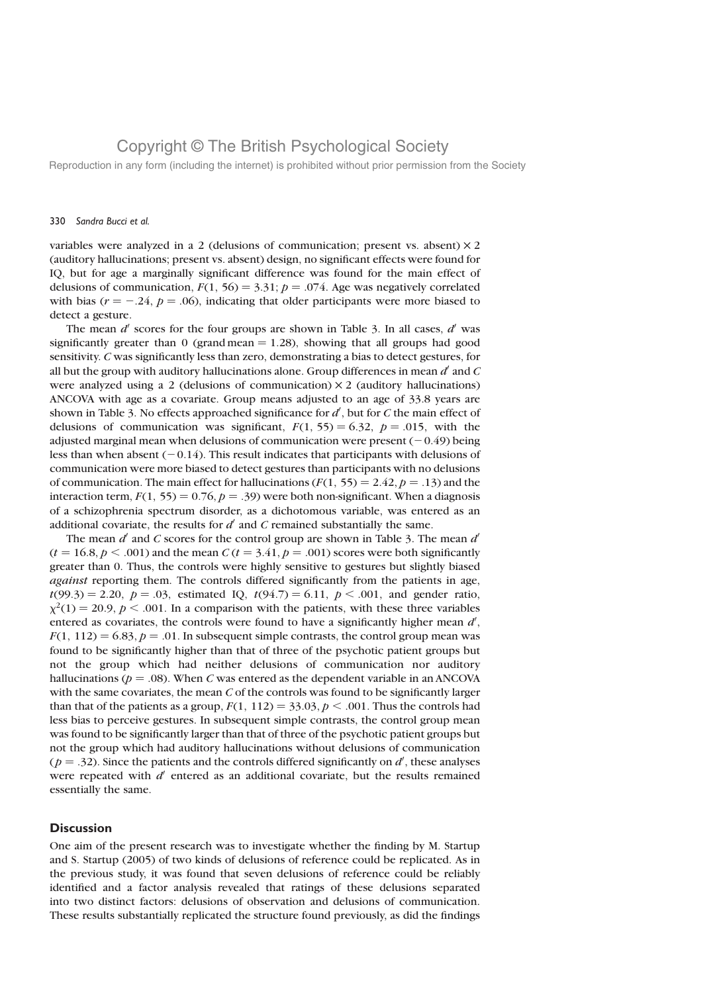Reproduction in any form (including the internet) is prohibited without prior permission from the Society

#### 330 Sandra Bucci et al.

variables were analyzed in a 2 (delusions of communication; present vs. absent)  $\times$  2 (auditory hallucinations; present vs. absent) design, no significant effects were found for IQ, but for age a marginally significant difference was found for the main effect of delusions of communication,  $F(1, 56) = 3.31$ ;  $p = .074$ . Age was negatively correlated with bias ( $r = -.24$ ,  $p = .06$ ), indicating that older participants were more biased to detect a gesture.

The mean  $d'$  scores for the four groups are shown in Table 3. In all cases,  $d'$  was significantly greater than 0 (grand mean  $= 1.28$ ), showing that all groups had good sensitivity. C was significantly less than zero, demonstrating a bias to detect gestures, for all but the group with auditory hallucinations alone. Group differences in mean  $d'$  and C were analyzed using a 2 (delusions of communication)  $\times$  2 (auditory hallucinations) ANCOVA with age as a covariate. Group means adjusted to an age of 33.8 years are shown in Table 3. No effects approached significance for  $d'$ , but for C the main effect of delusions of communication was significant,  $F(1, 55) = 6.32$ ,  $p = .015$ , with the adjusted marginal mean when delusions of communication were present  $(-0.49)$  being less than when absent  $(-0.14)$ . This result indicates that participants with delusions of communication were more biased to detect gestures than participants with no delusions of communication. The main effect for hallucinations  $(F(1, 55) = 2.42, p = .13)$  and the interaction term,  $F(1, 55) = 0.76$ ,  $p = .39$ ) were both non-significant. When a diagnosis of a schizophrenia spectrum disorder, as a dichotomous variable, was entered as an additional covariate, the results for  $d'$  and C remained substantially the same.

The mean d' and C scores for the control group are shown in Table 3. The mean  $d'$  $(t = 16.8, p < .001)$  and the mean C  $(t = 3.41, p = .001)$  scores were both significantly greater than 0. Thus, the controls were highly sensitive to gestures but slightly biased against reporting them. The controls differed significantly from the patients in age,  $t(99.3) = 2.20, p = .03$ , estimated IQ,  $t(94.7) = 6.11, p < .001$ , and gender ratio,  $\chi^2(1) = 20.9$ ,  $p < .001$ . In a comparison with the patients, with these three variables entered as covariates, the controls were found to have a significantly higher mean  $d'$ ,  $F(1, 112) = 6.83, p = .01$ . In subsequent simple contrasts, the control group mean was found to be significantly higher than that of three of the psychotic patient groups but not the group which had neither delusions of communication nor auditory hallucinations ( $p = .08$ ). When C was entered as the dependent variable in an ANCOVA with the same covariates, the mean  $C$  of the controls was found to be significantly larger than that of the patients as a group,  $F(1, 112) = 33.03, p < .001$ . Thus the controls had less bias to perceive gestures. In subsequent simple contrasts, the control group mean was found to be significantly larger than that of three of the psychotic patient groups but not the group which had auditory hallucinations without delusions of communication  $(p = .32)$ . Since the patients and the controls differed significantly on  $d'$ , these analyses were repeated with  $d'$  entered as an additional covariate, but the results remained essentially the same.

### **Discussion**

One aim of the present research was to investigate whether the finding by M. Startup and S. Startup (2005) of two kinds of delusions of reference could be replicated. As in the previous study, it was found that seven delusions of reference could be reliably identified and a factor analysis revealed that ratings of these delusions separated into two distinct factors: delusions of observation and delusions of communication. These results substantially replicated the structure found previously, as did the findings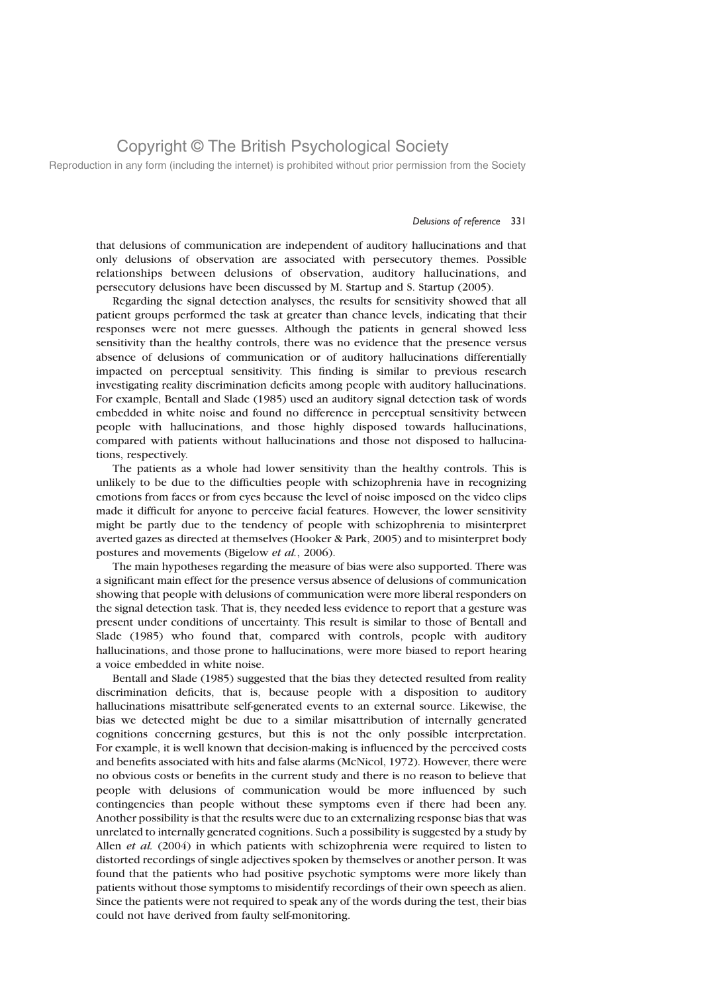Reproduction in any form (including the internet) is prohibited without prior permission from the Society

#### Delusions of reference 331

that delusions of communication are independent of auditory hallucinations and that only delusions of observation are associated with persecutory themes. Possible relationships between delusions of observation, auditory hallucinations, and persecutory delusions have been discussed by M. Startup and S. Startup (2005).

Regarding the signal detection analyses, the results for sensitivity showed that all patient groups performed the task at greater than chance levels, indicating that their responses were not mere guesses. Although the patients in general showed less sensitivity than the healthy controls, there was no evidence that the presence versus absence of delusions of communication or of auditory hallucinations differentially impacted on perceptual sensitivity. This finding is similar to previous research investigating reality discrimination deficits among people with auditory hallucinations. For example, Bentall and Slade (1985) used an auditory signal detection task of words embedded in white noise and found no difference in perceptual sensitivity between people with hallucinations, and those highly disposed towards hallucinations, compared with patients without hallucinations and those not disposed to hallucinations, respectively.

The patients as a whole had lower sensitivity than the healthy controls. This is unlikely to be due to the difficulties people with schizophrenia have in recognizing emotions from faces or from eyes because the level of noise imposed on the video clips made it difficult for anyone to perceive facial features. However, the lower sensitivity might be partly due to the tendency of people with schizophrenia to misinterpret averted gazes as directed at themselves (Hooker & Park, 2005) and to misinterpret body postures and movements (Bigelow et al., 2006).

The main hypotheses regarding the measure of bias were also supported. There was a significant main effect for the presence versus absence of delusions of communication showing that people with delusions of communication were more liberal responders on the signal detection task. That is, they needed less evidence to report that a gesture was present under conditions of uncertainty. This result is similar to those of Bentall and Slade (1985) who found that, compared with controls, people with auditory hallucinations, and those prone to hallucinations, were more biased to report hearing a voice embedded in white noise.

Bentall and Slade (1985) suggested that the bias they detected resulted from reality discrimination deficits, that is, because people with a disposition to auditory hallucinations misattribute self-generated events to an external source. Likewise, the bias we detected might be due to a similar misattribution of internally generated cognitions concerning gestures, but this is not the only possible interpretation. For example, it is well known that decision-making is influenced by the perceived costs and benefits associated with hits and false alarms (McNicol, 1972). However, there were no obvious costs or benefits in the current study and there is no reason to believe that people with delusions of communication would be more influenced by such contingencies than people without these symptoms even if there had been any. Another possibility is that the results were due to an externalizing response bias that was unrelated to internally generated cognitions. Such a possibility is suggested by a study by Allen et al. (2004) in which patients with schizophrenia were required to listen to distorted recordings of single adjectives spoken by themselves or another person. It was found that the patients who had positive psychotic symptoms were more likely than patients without those symptoms to misidentify recordings of their own speech as alien. Since the patients were not required to speak any of the words during the test, their bias could not have derived from faulty self-monitoring.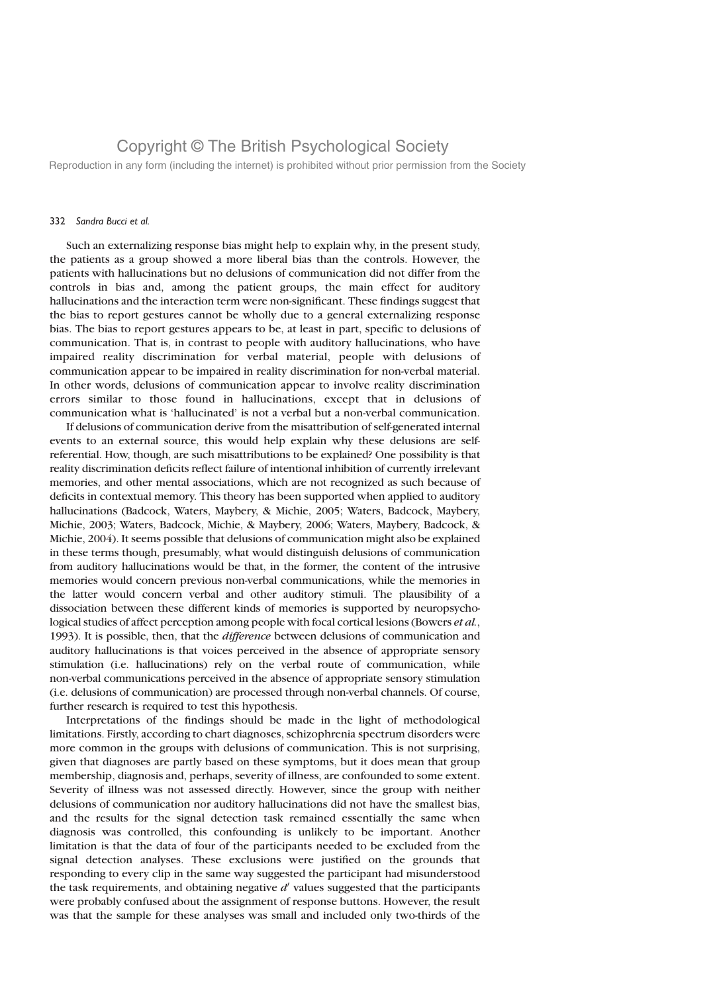Reproduction in any form (including the internet) is prohibited without prior permission from the Society

#### 332 Sandra Bucci et al.

Such an externalizing response bias might help to explain why, in the present study, the patients as a group showed a more liberal bias than the controls. However, the patients with hallucinations but no delusions of communication did not differ from the controls in bias and, among the patient groups, the main effect for auditory hallucinations and the interaction term were non-significant. These findings suggest that the bias to report gestures cannot be wholly due to a general externalizing response bias. The bias to report gestures appears to be, at least in part, specific to delusions of communication. That is, in contrast to people with auditory hallucinations, who have impaired reality discrimination for verbal material, people with delusions of communication appear to be impaired in reality discrimination for non-verbal material. In other words, delusions of communication appear to involve reality discrimination errors similar to those found in hallucinations, except that in delusions of communication what is 'hallucinated' is not a verbal but a non-verbal communication.

If delusions of communication derive from the misattribution of self-generated internal events to an external source, this would help explain why these delusions are selfreferential. How, though, are such misattributions to be explained? One possibility is that reality discrimination deficits reflect failure of intentional inhibition of currently irrelevant memories, and other mental associations, which are not recognized as such because of deficits in contextual memory. This theory has been supported when applied to auditory hallucinations (Badcock, Waters, Maybery, & Michie, 2005; Waters, Badcock, Maybery, Michie, 2003; Waters, Badcock, Michie, & Maybery, 2006; Waters, Maybery, Badcock, & Michie, 2004). It seems possible that delusions of communication might also be explained in these terms though, presumably, what would distinguish delusions of communication from auditory hallucinations would be that, in the former, the content of the intrusive memories would concern previous non-verbal communications, while the memories in the latter would concern verbal and other auditory stimuli. The plausibility of a dissociation between these different kinds of memories is supported by neuropsychological studies of affect perception among people with focal cortical lesions (Bowers et al., 1993). It is possible, then, that the *difference* between delusions of communication and auditory hallucinations is that voices perceived in the absence of appropriate sensory stimulation (i.e. hallucinations) rely on the verbal route of communication, while non-verbal communications perceived in the absence of appropriate sensory stimulation (i.e. delusions of communication) are processed through non-verbal channels. Of course, further research is required to test this hypothesis.

Interpretations of the findings should be made in the light of methodological limitations. Firstly, according to chart diagnoses, schizophrenia spectrum disorders were more common in the groups with delusions of communication. This is not surprising, given that diagnoses are partly based on these symptoms, but it does mean that group membership, diagnosis and, perhaps, severity of illness, are confounded to some extent. Severity of illness was not assessed directly. However, since the group with neither delusions of communication nor auditory hallucinations did not have the smallest bias, and the results for the signal detection task remained essentially the same when diagnosis was controlled, this confounding is unlikely to be important. Another limitation is that the data of four of the participants needed to be excluded from the signal detection analyses. These exclusions were justified on the grounds that responding to every clip in the same way suggested the participant had misunderstood the task requirements, and obtaining negative  $d'$  values suggested that the participants were probably confused about the assignment of response buttons. However, the result was that the sample for these analyses was small and included only two-thirds of the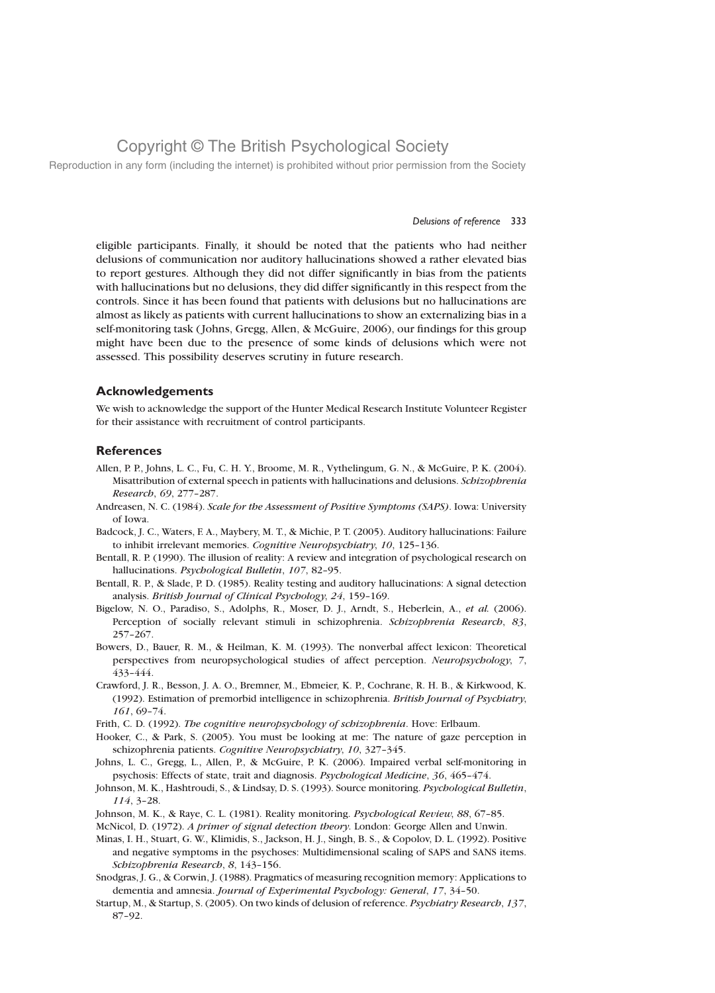Reproduction in any form (including the internet) is prohibited without prior permission from the Society

#### Delusions of reference 333

eligible participants. Finally, it should be noted that the patients who had neither delusions of communication nor auditory hallucinations showed a rather elevated bias to report gestures. Although they did not differ significantly in bias from the patients with hallucinations but no delusions, they did differ significantly in this respect from the controls. Since it has been found that patients with delusions but no hallucinations are almost as likely as patients with current hallucinations to show an externalizing bias in a self-monitoring task ( Johns, Gregg, Allen, & McGuire, 2006), our findings for this group might have been due to the presence of some kinds of delusions which were not assessed. This possibility deserves scrutiny in future research.

#### Acknowledgements

We wish to acknowledge the support of the Hunter Medical Research Institute Volunteer Register for their assistance with recruitment of control participants.

#### **References**

- Allen, P. P., Johns, L. C., Fu, C. H. Y., Broome, M. R., Vythelingum, G. N., & McGuire, P. K. (2004). Misattribution of external speech in patients with hallucinations and delusions. Schizophrenia Research, 69, 277–287.
- Andreasen, N. C. (1984). Scale for the Assessment of Positive Symptoms (SAPS). Iowa: University of Iowa.
- Badcock, J. C., Waters, F. A., Maybery, M. T., & Michie, P. T. (2005). Auditory hallucinations: Failure to inhibit irrelevant memories. Cognitive Neuropsychiatry, 10, 125–136.
- Bentall, R. P. (1990). The illusion of reality: A review and integration of psychological research on hallucinations. Psychological Bulletin, 107, 82-95.
- Bentall, R. P., & Slade, P. D. (1985). Reality testing and auditory hallucinations: A signal detection analysis. British Journal of Clinical Psychology, 24, 159–169.
- Bigelow, N. O., Paradiso, S., Adolphs, R., Moser, D. J., Arndt, S., Heberlein, A., et al. (2006). Perception of socially relevant stimuli in schizophrenia. Schizophrenia Research, 83, 257–267.
- Bowers, D., Bauer, R. M., & Heilman, K. M. (1993). The nonverbal affect lexicon: Theoretical perspectives from neuropsychological studies of affect perception. Neuropsychology, 7, 433–444.
- Crawford, J. R., Besson, J. A. O., Bremner, M., Ebmeier, K. P., Cochrane, R. H. B., & Kirkwood, K. (1992). Estimation of premorbid intelligence in schizophrenia. British Journal of Psychiatry, 161, 69–74.
- Frith, C. D. (1992). The cognitive neuropsychology of schizophrenia. Hove: Erlbaum.
- Hooker, C., & Park, S. (2005). You must be looking at me: The nature of gaze perception in schizophrenia patients. Cognitive Neuropsychiatry, 10, 327–345.
- Johns, L. C., Gregg, L., Allen, P., & McGuire, P. K. (2006). Impaired verbal self-monitoring in psychosis: Effects of state, trait and diagnosis. Psychological Medicine, 36, 465–474.
- Johnson, M. K., Hashtroudi, S., & Lindsay, D. S. (1993). Source monitoring. Psychological Bulletin, 114, 3–28.
- Johnson, M. K., & Raye, C. L. (1981). Reality monitoring. Psychological Review, 88, 67-85.
- McNicol, D. (1972). A primer of signal detection theory. London: George Allen and Unwin.
- Minas, I. H., Stuart, G. W., Klimidis, S., Jackson, H. J., Singh, B. S., & Copolov, D. L. (1992). Positive and negative symptoms in the psychoses: Multidimensional scaling of SAPS and SANS items. Schizophrenia Research, 8, 143–156.
- Snodgras, J. G., & Corwin, J. (1988). Pragmatics of measuring recognition memory: Applications to dementia and amnesia. Journal of Experimental Psychology: General, 17, 34–50.
- Startup, M., & Startup, S. (2005). On two kinds of delusion of reference. Psychiatry Research, 137, 87–92.